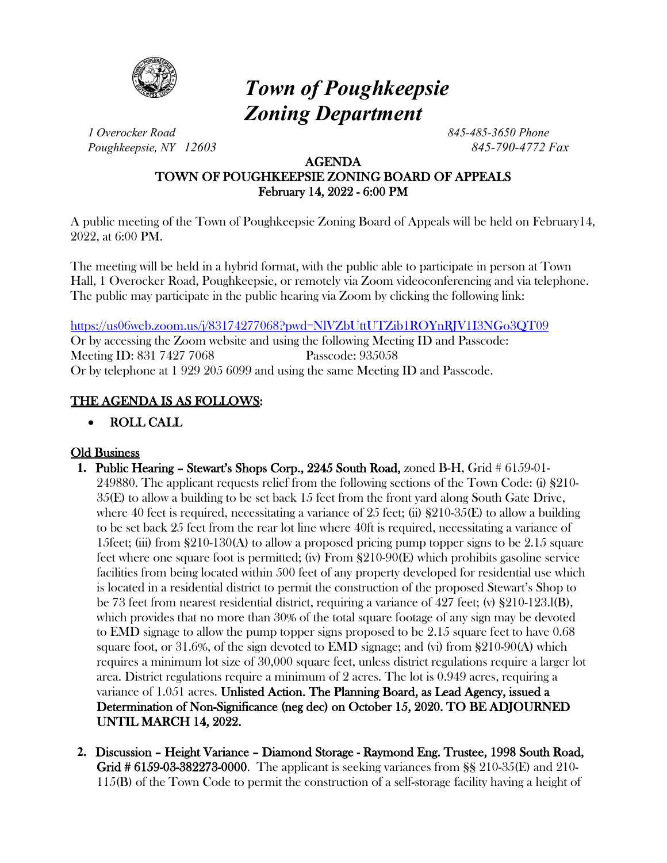

# *Town of Poughkeepsie Zoning Department*

*1 Overocker Road 845-485-3650 Phone Poughkeepsie, NY 12603 845-790-4772 Fax*

### AGENDA TOWN OF POUGHKEEPSIE ZONING BOARD OF APPEALS February 14, 2022 - 6:00 PM

A public meeting of the Town of Poughkeepsie Zoning Board of Appeals will be held on February14, 2022, at 6:00 PM.

The meeting will be held in a hybrid format, with the public able to participate in person at Town Hall, 1 Overocker Road, Poughkeepsie, or remotely via Zoom videoconferencing and via telephone. The public may participate in the public hearing via Zoom by clicking the following link:

<https://us06web.zoom.us/j/83174277068?pwd=NlVZbUttUTZib1ROYnRJV1I3NGo3QT09>

Or by accessing the Zoom website and using the following Meeting ID and Passcode: Meeting ID: 831 7427 7068 Passcode: 935058 Or by telephone at 1 929 205 6099 and using the same Meeting ID and Passcode.

## THE AGENDA IS AS FOLLOWS:

## • ROLL CALL

## Old Business

- **1.** Public Hearing Stewart's Shops Corp., 2245 South Road, zoned B-H, Grid # 6159-01- 249880. The applicant requests relief from the following sections of the Town Code: (i) §210- 35(E) to allow a building to be set back 15 feet from the front yard along South Gate Drive, where 40 feet is required, necessitating a variance of 25 feet; (ii)  $\S210-35(E)$  to allow a building to be set back 25 feet from the rear lot line where 40ft is required, necessitating a variance of 15feet; (iii) from  $\S210-130(A)$  to allow a proposed pricing pump topper signs to be 2.15 square feet where one square foot is permitted; (iv) From §210-90(E) which prohibits gasoline service facilities from being located within 500 feet of any property developed for residential use which is located in a residential district to permit the construction of the proposed Stewart's Shop to be 73 feet from nearest residential district, requiring a variance of 427 feet; (v) §210-123.l(B), which provides that no more than 30% of the total square footage of any sign may be devoted to EMD signage to allow the pump topper signs proposed to be 2.15 square feet to have 0.68 square foot, or 31.6%, of the sign devoted to EMD signage; and (vi) from §210-90(A) which requires a minimum lot size of 30,000 square feet, unless district regulations require a larger lot area. District regulations require a minimum of 2 acres. The lot is 0.949 acres, requiring a variance of 1.051 acres. Unlisted Action. The Planning Board, as Lead Agency, issued a Determination of Non-Significance (neg dec) on October 15, 2020. TO BE ADJOURNED UNTIL MARCH 14, 2022.
- **2.** Discussion Height Variance Diamond Storage Raymond Eng. Trustee, 1998 South Road, Grid # 6159-03-382273-0000. The applicant is seeking variances from §§ 210-35(E) and 210- 115(B) of the Town Code to permit the construction of a self-storage facility having a height of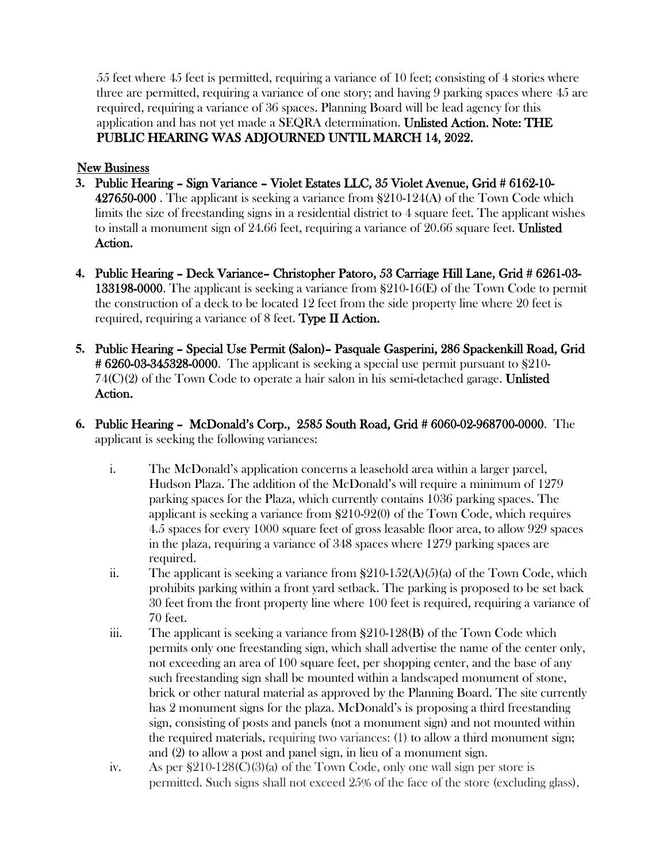55 feet where 45 feet is permitted, requiring a variance of 10 feet; consisting of 4 stories where three are permitted, requiring a variance of one story; and having 9 parking spaces where 45 are required, requiring a variance of 36 spaces. Planning Board will be lead agency for this application and has not yet made a SEQRA determination. Unlisted Action. Note: THE PUBLIC HEARING WAS ADJOURNED UNTIL MARCH 14, 2022.

#### **New Business**

- **3.** Public Hearing Sign Variance Violet Estates LLC, 35 Violet Avenue, Grid # 6162-10- 427650-000 . The applicant is seeking a variance from §210-124(A) of the Town Code which limits the size of freestanding signs in a residential district to 4 square feet. The applicant wishes to install a monument sign of 24.66 feet, requiring a variance of 20.66 square feet. Unlisted Action.
- **4.** Public Hearing Deck Variance– Christopher Patoro, 53 Carriage Hill Lane, Grid # 6261-03- 133198-0000. The applicant is seeking a variance from §210-16(E) of the Town Code to permit the construction of a deck to be located 12 feet from the side property line where 20 feet is required, requiring a variance of 8 feet. Type II Action.
- **5.** Public Hearing Special Use Permit (Salon)– Pasquale Gasperini, 286 Spackenkill Road, Grid  $\#6260-03-345328-0000$ . The applicant is seeking a special use permit pursuant to  $\S210 74(C)(2)$  of the Town Code to operate a hair salon in his semi-detached garage. Unlisted Action.
- **6.** Public Hearing McDonald's Corp., 2585 South Road, Grid # 6060-02-968700-0000. The applicant is seeking the following variances:
	- i. The McDonald's application concerns a leasehold area within a larger parcel, Hudson Plaza. The addition of the McDonald's will require a minimum of 1279 parking spaces for the Plaza, which currently contains 1036 parking spaces. The applicant is seeking a variance from §210-92(0) of the Town Code, which requires 4.5 spaces for every 1000 square feet of gross leasable floor area, to allow 929 spaces in the plaza, requiring a variance of 348 spaces where 1279 parking spaces are required.
	- ii. The applicant is seeking a variance from  $\S210-152(A)(5)(a)$  of the Town Code, which prohibits parking within a front yard setback. The parking is proposed to be set back 30 feet from the front property line where 100 feet is required, requiring a variance of 70 feet.
	- iii. The applicant is seeking a variance from §210-128(B) of the Town Code which permits only one freestanding sign, which shall advertise the name of the center only, not exceeding an area of 100 square feet, per shopping center, and the base of any such freestanding sign shall be mounted within a landscaped monument of stone, brick or other natural material as approved by the Planning Board. The site currently has 2 monument signs for the plaza. McDonald's is proposing a third freestanding sign, consisting of posts and panels (not a monument sign) and not mounted within the required materials, requiring two variances: (1) to allow a third monument sign; and (2) to allow a post and panel sign, in lieu of a monument sign.
	- iv. As per  $$210-128(C)(3)(a)$  of the Town Code, only one wall sign per store is permitted. Such signs shall not exceed 25% of the face of the store (excluding glass),